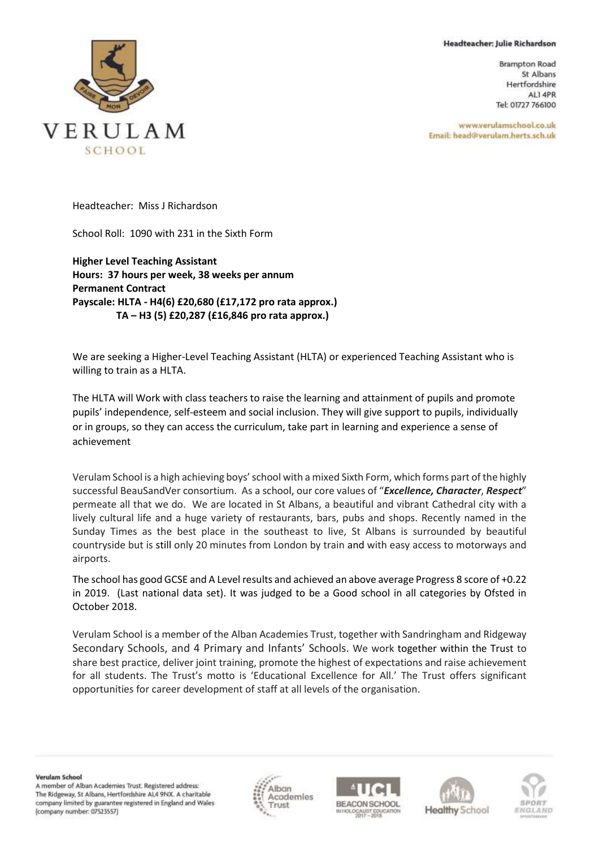## Headteacher: Julie Richardson

**Brampton Road** St Albans Hertfordshire AL1 4PR Tel: 01727 766100

www.verulamschool.co.uk Email: head@verulam.herts.sch.uk



Headteacher: Miss J Richardson

School Roll: 1090 with 231 in the Sixth Form

**Higher Level Teaching Assistant Hours: 37 hours per week, 38 weeks per annum Permanent Contract Payscale: HLTA - H4(6) £20,680 (£17,172 pro rata approx.) TA – H3 (5) £20,287 (£16,846 pro rata approx.)**

We are seeking a Higher-Level Teaching Assistant (HLTA) or experienced Teaching Assistant who is willing to train as a HLTA.

The HLTA will Work with class teachers to raise the learning and attainment of pupils and promote pupils' independence, self-esteem and social inclusion. They will give support to pupils, individually or in groups, so they can access the curriculum, take part in learning and experience a sense of achievement

Verulam School is a high achieving boys' school with a mixed Sixth Form, which forms part of the highly successful BeauSandVer consortium. As a school, our core values of "*Excellence, Character*, *Respect*" permeate all that we do. We are located in St Albans, a beautiful and vibrant Cathedral city with a lively cultural life and a huge variety of restaurants, bars, pubs and shops. Recently named in the Sunday Times as the best place in the southeast to live, St Albans is surrounded by beautiful countryside but is still only 20 minutes from London by train and with easy access to motorways and airports.

The school has good GCSE and A Level results and achieved an above average Progress 8 score of +0.22 in 2019. (Last national data set). It was judged to be a Good school in all categories by Ofsted in October 2018.

Verulam School is a member of the Alban Academies Trust, together with Sandringham and Ridgeway Secondary Schools, and 4 Primary and Infants' Schools. We work together within the Trust to share best practice, deliver joint training, promote the highest of expectations and raise achievement for all students. The Trust's motto is 'Educational Excellence for All.' The Trust offers significant opportunities for career development of staff at all levels of the organisation.